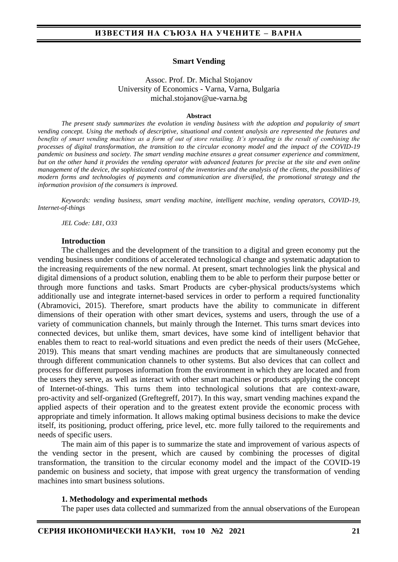#### **Smart Vending**

#### Assoc. Prof. Dr. Michal Stojanov University of Economics - Varna, Varna, Bulgaria michal.stojanov@ue-varna.bg

#### **Abstract**

*The present study summarizes the evolution in vending business with the adoption and popularity of smart vending concept. Using the methods of descriptive, situational and content analysis are represented the features and benefits of smart vending machines as a form of out of store retailing. It's spreading is the result of combining the processes of digital transformation, the transition to the circular economy model and the impact of the COVID-19 pandemic on business and society. The smart vending machine ensures a great consumer experience and commitment, but on the other hand it provides the vending operator with advanced features for precise at the site and even online management of the device, the sophisticated control of the inventories and the analysis of the clients, the possibilities of modern forms and technologies of payments and communication are diversified, the promotional strategy and the information provision of the consumers is improved.*

*Keywords: vending business, smart vending machine, intelligent machine, vending operators, COVID-19, Internet-of-things*

*JEL Code: L81, O33*

#### **Introduction**

The challenges and the development of the transition to a digital and green economy put the vending business under conditions of accelerated technological change and systematic adaptation to the increasing requirements of the new normal. At present, smart technologies link the physical and digital dimensions of a product solution, enabling them to be able to perform their purpose better or through more functions and tasks. Smart Products are cyber-physical products/systems which additionally use and integrate internet-based services in order to perform a required functionality (Abramovici, 2015). Therefore, smart products have the ability to communicate in different dimensions of their operation with other smart devices, systems and users, through the use of a variety of communication channels, but mainly through the Internet. This turns smart devices into connected devices, but unlike them, smart devices, have some kind of intelligent behavior that enables them to react to real-world situations and even predict the needs of their users (McGehee, 2019). This means that smart vending machines are products that are simultaneously connected through different communication channels to other systems. But also devices that can collect and process for different purposes information from the environment in which they are located and from the users they serve, as well as interact with other smart machines or products applying the concept of Internet-of-things. This turns them into technological solutions that are context‐aware, pro‐activity and self‐organized (Greftegreff, 2017). In this way, smart vending machines expand the applied aspects of their operation and to the greatest extent provide the economic process with appropriate and timely information. It allows making optimal business decisions to make the device itself, its positioning, product offering, price level, etc. more fully tailored to the requirements and needs of specific users.

The main aim of this paper is to summarize the state and improvement of various aspects of the vending sector in the present, which are caused by combining the processes of digital transformation, the transition to the circular economy model and the impact of the COVID-19 pandemic on business and society, that impose with great urgency the transformation of vending machines into smart business solutions.

#### **1. Methodology and experimental methods**

The paper uses data collected and summarized from the annual observations of the European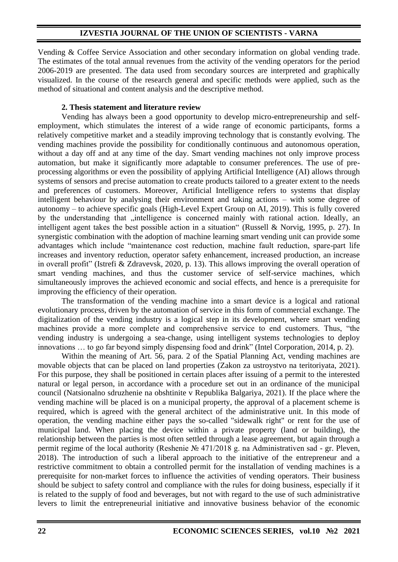Vending & Coffee Service Association and other secondary information on global vending trade. The estimates of the total annual revenues from the activity of the vending operators for the period 2006-2019 are presented. The data used from secondary sources are interpreted and graphically visualized. In the course of the research general and specific methods were applied, such as the method of situational and content analysis and the descriptive method.

### **2. Thesis statement and literature review**

Vending has always been a good opportunity to develop micro-entrepreneurship and selfemployment, which stimulates the interest of a wide range of economic participants, forms a relatively competitive market and a steadily improving technology that is constantly evolving. The vending machines provide the possibility for conditionally continuous and autonomous operation, without a day off and at any time of the day. Smart vending machines not only improve process automation, but make it significantly more adaptable to consumer preferences. The use of preprocessing algorithms or even the possibility of applying Artificial Intelligence (AI) allows through systems of sensors and precise automation to create products tailored to a greater extent to the needs and preferences of customers. Moreover, Artificial Intelligence refers to systems that display intelligent behaviour by analysing their environment and taking actions – with some degree of autonomy – to achieve specific goals (High-Level Expert Group on AI, 2019). This is fully covered by the understanding that "intelligence is concerned mainly with rational action. Ideally, an intelligent agent takes the best possible action in a situation" (Russell & Norvig, 1995, p. 27). In synergistic combination with the adoption of machine learning smart vending unit can provide some advantages which include "maintenance cost reduction, machine fault reduction, spare-part life increases and inventory reduction, operator safety enhancement, increased production, an increase in overall profit" (Istrefi & Zdravevsk, 2020, p. 13). This allows improving the overall operation of smart vending machines, and thus the customer service of self-service machines, which simultaneously improves the achieved economic and social effects, and hence is a prerequisite for improving the efficiency of their operation.

The transformation of the vending machine into a smart device is a logical and rational evolutionary process, driven by the automation of service in this form of commercial exchange. The digitalization of the vending industry is a logical step in its development, where smart vending machines provide a more complete and comprehensive service to end customers. Thus, "the vending industry is undergoing a sea-change, using intelligent systems technologies to deploy innovations … to go far beyond simply dispensing food and drink" (Intel Corporation, 2014, p. 2).

Within the meaning of Art. 56, para. 2 of the Spatial Planning Act, vending machines are movable objects that can be placed on land properties (Zakon za ustroystvo na teritoriyata, 2021). For this purpose, they shall be positioned in certain places after issuing of a permit to the interested natural or legal person, in accordance with a procedure set out in an ordinance of the municipal council (Natsionalno sdruzhenie na obshtinite v Republika Balgariya, 2021). If the place where the vending machine will be placed is on a municipal property, the approval of a placement scheme is required, which is agreed with the general architect of the administrative unit. In this mode of operation, the vending machine either pays the so-called "sidewalk right" or rent for the use of municipal land. When placing the device within a private property (land or building), the relationship between the parties is most often settled through a lease agreement, but again through a permit regime of the local authority (Reshenie № 471/2018 g. na Administrativen sad - gr. Pleven, 2018). The introduction of such a liberal approach to the initiative of the entrepreneur and a restrictive commitment to obtain a controlled permit for the installation of vending machines is a prerequisite for non-market forces to influence the activities of vending operators. Their business should be subject to safety control and compliance with the rules for doing business, especially if it is related to the supply of food and beverages, but not with regard to the use of such administrative levers to limit the entrepreneurial initiative and innovative business behavior of the economic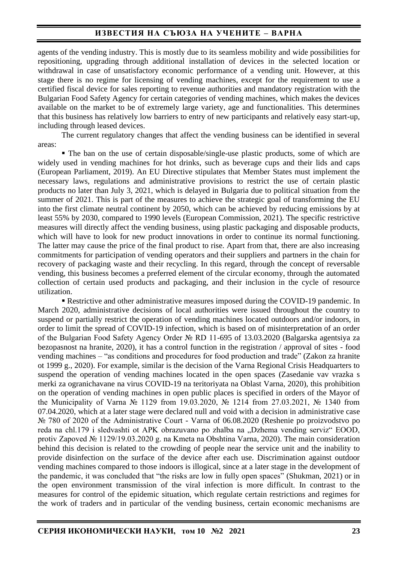# **ИЗВЕСТИЯ НА СЪЮЗА НА УЧЕНИТЕ – ВАРНА**

agents of the vending industry. This is mostly due to its seamless mobility and wide possibilities for repositioning, upgrading through additional installation of devices in the selected location or withdrawal in case of unsatisfactory economic performance of a vending unit. However, at this stage there is no regime for licensing of vending machines, except for the requirement to use a certified fiscal device for sales reporting to revenue authorities and mandatory registration with the Bulgarian Food Safety Agency for certain categories of vending machines, which makes the devices available on the market to be of extremely large variety, age and functionalities. This determines that this business has relatively low barriers to entry of new participants and relatively easy start-up, including through leased devices.

The current regulatory changes that affect the vending business can be identified in several areas:

■ The ban on the use of certain disposable/single-use plastic products, some of which are widely used in vending machines for hot drinks, such as beverage cups and their lids and caps (European Parliament, 2019). An EU Directive stipulates that Member States must implement the necessary laws, regulations and administrative provisions to restrict the use of certain plastic products no later than July 3, 2021, which is delayed in Bulgaria due to political situation from the summer of 2021. This is part of the measures to achieve the strategic goal of transforming the EU into the first climate neutral continent by 2050, which can be achieved by reducing emissions by at least 55% by 2030, compared to 1990 levels (European Commission, 2021). The specific restrictive measures will directly affect the vending business, using plastic packaging and disposable products, which will have to look for new product innovations in order to continue its normal functioning. The latter may cause the price of the final product to rise. Apart from that, there are also increasing commitments for participation of vending operators and their suppliers and partners in the chain for recovery of packaging waste and their recycling. In this regard, through the concept of reversable vending, this business becomes a preferred element of the circular economy, through the automated collection of certain used products and packaging, and their inclusion in the cycle of resource utilization.

▪ Restrictive and other administrative measures imposed during the COVID-19 pandemic. In March 2020, administrative decisions of local authorities were issued throughout the country to suspend or partially restrict the operation of vending machines located outdoors and/or indoors, in order to limit the spread of COVID-19 infection, which is based on of misinterpretation of an order of the Bulgarian Food Safety Agency Order № RD 11-695 of 13.03.2020 (Balgarska agentsiya za bezopasnost na hranite, 2020), it has a control function in the registration / approval of sites - food vending machines – "as conditions and procedures for food production and trade" (Zakon za hranite ot 1999 g., 2020). For example, similar is the decision of the Varna Regional Crisis Headquarters to suspend the operation of vending machines located in the open spaces (Zasedanie vav vrazka s merki za ogranichavane na virus COVID-19 na teritoriyata na Oblast Varna, 2020), this prohibition on the operation of vending machines in open public places is specified in orders of the Mayor of the Municipality of Varna № 1129 from 19.03.2020, № 1214 from 27.03.2021, № 1340 from 07.04.2020, which at a later stage were declared null and void with a decision in administrative case № 780 of 2020 of the Administrative Court - Varna of 06.08.2020 (Reshenie po proizvodstvo po reda na chl.179 i sledvashti ot APK obrazuvano po zhalba na "Dzhema vending serviz" EOOD, protiv Zapoved № 1129/19.03.2020 g. na Kmeta na Obshtina Varna, 2020). The main consideration behind this decision is related to the crowding of people near the service unit and the inability to provide disinfection on the surface of the device after each use. Discrimination against outdoor vending machines compared to those indoors is illogical, since at a later stage in the development of the pandemic, it was concluded that "the risks are low in fully open spaces" (Shukman, 2021) or in the open environment transmission of the viral infection is more difficult. In contrast to the measures for control of the epidemic situation, which regulate certain restrictions and regimes for the work of traders and in particular of the vending business, certain economic mechanisms are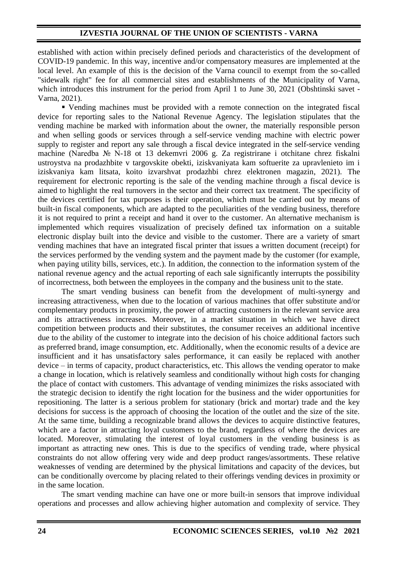established with action within precisely defined periods and characteristics of the development of COVID-19 pandemic. In this way, incentive and/or compensatory measures are implemented at the local level. An example of this is the decision of the Varna council to exempt from the so-called "sidewalk right" fee for all commercial sites and establishments of the Municipality of Varna, which introduces this instrument for the period from April 1 to June 30, 2021 (Obshtinski savet - Varna, 2021).

▪ Vending machines must be provided with a remote connection on the integrated fiscal device for reporting sales to the National Revenue Agency. The legislation stipulates that the vending machine be marked with information about the owner, the materially responsible person and when selling goods or services through a self-service vending machine with electric power supply to register and report any sale through a fiscal device integrated in the self-service vending machine (Naredba № N-18 ot 13 dekemvri 2006 g. Za registrirane i otchitane chrez fiskalni ustroystva na prodazhbite v targovskite obekti, iziskvaniyata kam softuerite za upravlenieto im i iziskvaniya kam litsata, koito izvarshvat prodazhbi chrez elektronen magazin, 2021). The requirement for electronic reporting is the sale of the vending machine through a fiscal device is aimed to highlight the real turnovers in the sector and their correct tax treatment. The specificity of the devices certified for tax purposes is their operation, which must be carried out by means of built-in fiscal components, which are adapted to the peculiarities of the vending business, therefore it is not required to print a receipt and hand it over to the customer. An alternative mechanism is implemented which requires visualization of precisely defined tax information on a suitable electronic display built into the device and visible to the customer. There are a variety of smart vending machines that have an integrated fiscal printer that issues a written document (receipt) for the services performed by the vending system and the payment made by the customer (for example, when paying utility bills, services, etc.). In addition, the connection to the information system of the national revenue agency and the actual reporting of each sale significantly interrupts the possibility of incorrectness, both between the employees in the company and the business unit to the state.

The smart vending business can benefit from the development of multi-synergy and increasing attractiveness, when due to the location of various machines that offer substitute and/or complementary products in proximity, the power of attracting customers in the relevant service area and its attractiveness increases. Moreover, in a market situation in which we have direct competition between products and their substitutes, the consumer receives an additional incentive due to the ability of the customer to integrate into the decision of his choice additional factors such as preferred brand, image consumption, etc. Additionally, when the economic results of a device are insufficient and it has unsatisfactory sales performance, it can easily be replaced with another device – in terms of capacity, product characteristics, etc. This allows the vending operator to make a change in location, which is relatively seamless and conditionally without high costs for changing the place of contact with customers. This advantage of vending minimizes the risks associated with the strategic decision to identify the right location for the business and the wider opportunities for repositioning. The latter is a serious problem for stationary (brick and mortar) trade and the key decisions for success is the approach of choosing the location of the outlet and the size of the site. At the same time, building a recognizable brand allows the devices to acquire distinctive features, which are a factor in attracting loyal customers to the brand, regardless of where the devices are located. Moreover, stimulating the interest of loyal customers in the vending business is as important as attracting new ones. This is due to the specifics of vending trade, where physical constraints do not allow offering very wide and deep product ranges/assortments. These relative weaknesses of vending are determined by the physical limitations and capacity of the devices, but can be conditionally overcome by placing related to their offerings vending devices in proximity or in the same location.

The smart vending machine can have one or more built-in sensors that improve individual operations and processes and allow achieving higher automation and complexity of service. They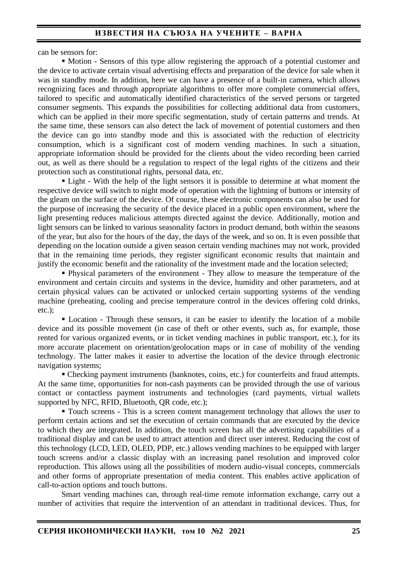can be sensors for:

▪ Motion - Sensors of this type allow registering the approach of a potential customer and the device to activate certain visual advertising effects and preparation of the device for sale when it was in standby mode. In addition, here we can have a presence of a built-in camera, which allows recognizing faces and through appropriate algorithms to offer more complete commercial offers, tailored to specific and automatically identified characteristics of the served persons or targeted consumer segments. This expands the possibilities for collecting additional data from customers, which can be applied in their more specific segmentation, study of certain patterns and trends. At the same time, these sensors can also detect the lack of movement of potential customers and then the device can go into standby mode and this is associated with the reduction of electricity consumption, which is a significant cost of modern vending machines. In such a situation, appropriate information should be provided for the clients about the video recording been carried out, as well as there should be a regulation to respect of the legal rights of the citizens and their protection such as constitutional rights, personal data, etc.

■ Light - With the help of the light sensors it is possible to determine at what moment the respective device will switch to night mode of operation with the lightning of buttons or intensity of the gleam on the surface of the device. Of course, these electronic components can also be used for the purpose of increasing the security of the device placed in a public open environment, where the light presenting reduces malicious attempts directed against the device. Additionally, motion and light sensors can be linked to various seasonality factors in product demand, both within the seasons of the year, but also for the hours of the day, the days of the week, and so on. It is even possible that depending on the location outside a given season certain vending machines may not work, provided that in the remaining time periods, they register significant economic results that maintain and justify the economic benefit and the rationality of the investment made and the location selected;

**• Physical parameters of the environment - They allow to measure the temperature of the** environment and certain circuits and systems in the device, humidity and other parameters, and at certain physical values can be activated or unlocked certain supporting systems of the vending machine (preheating, cooling and precise temperature control in the devices offering cold drinks, etc.);

**• Location - Through these sensors, it can be easier to identify the location of a mobile** device and its possible movement (in case of theft or other events, such as, for example, those rented for various organized events, or in ticket vending machines in public transport, etc.), for its more accurate placement on orientation/geolocation maps or in case of mobility of the vending technology. The latter makes it easier to advertise the location of the device through electronic navigation systems;

• Checking payment instruments (banknotes, coins, etc.) for counterfeits and fraud attempts. At the same time, opportunities for non-cash payments can be provided through the use of various contact or contactless payment instruments and technologies (card payments, virtual wallets supported by NFC, RFID, Bluetooth, QR code, etc.);

**Touch screens - This is a screen content management technology that allows the user to** perform certain actions and set the execution of certain commands that are executed by the device to which they are integrated. In addition, the touch screen has all the advertising capabilities of a traditional display and can be used to attract attention and direct user interest. Reducing the cost of this technology (LCD, LED, OLED, PDP, etc.) allows vending machines to be equipped with larger touch screens and/or a classic display with an increasing panel resolution and improved color reproduction. This allows using all the possibilities of modern audio-visual concepts, commercials and other forms of appropriate presentation of media content. This enables active application of call-to-action options and touch buttons.

Smart vending machines can, through real-time remote information exchange, carry out a number of activities that require the intervention of an attendant in traditional devices. Thus, for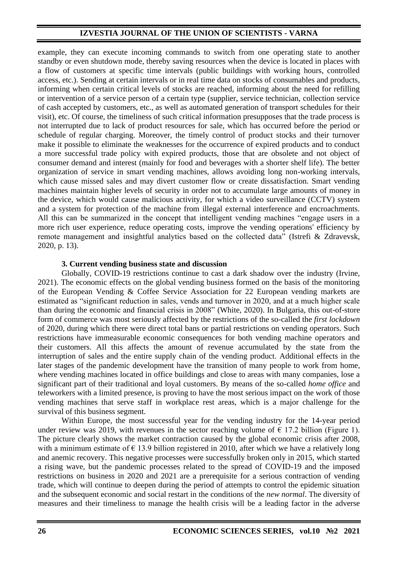example, they can execute incoming commands to switch from one operating state to another standby or even shutdown mode, thereby saving resources when the device is located in places with a flow of customers at specific time intervals (public buildings with working hours, controlled access, etc.). Sending at certain intervals or in real time data on stocks of consumables and products, informing when certain critical levels of stocks are reached, informing about the need for refilling or intervention of a service person of a certain type (supplier, service technician, collection service of cash accepted by customers, etc., as well as automated generation of transport schedules for their visit), etc. Of course, the timeliness of such critical information presupposes that the trade process is not interrupted due to lack of product resources for sale, which has occurred before the period or schedule of regular charging. Moreover, the timely control of product stocks and their turnover make it possible to eliminate the weaknesses for the occurrence of expired products and to conduct a more successful trade policy with expired products, those that are obsolete and not object of consumer demand and interest (mainly for food and beverages with a shorter shelf life). The better organization of service in smart vending machines, allows avoiding long non-working intervals, which cause missed sales and may divert customer flow or create dissatisfaction. Smart vending machines maintain higher levels of security in order not to accumulate large amounts of money in the device, which would cause malicious activity, for which a video surveillance (CCTV) system and a system for protection of the machine from illegal external interference and encroachments. All this can be summarized in the concept that intelligent vending machines "engage users in a more rich user experience, reduce operating costs, improve the vending operations' efficiency by remote management and insightful analytics based on the collected data" (Istrefi & Zdravevsk, 2020, p. 13).

### **3. Current vending business state and discussion**

Globally, COVID-19 restrictions continue to cast a dark shadow over the industry (Irvine, 2021). The economic effects on the global vending business formed on the basis of the monitoring of the European Vending & Coffee Service Association for 22 European vending markets are estimated as "significant reduction in sales, vends and turnover in 2020, and at a much higher scale than during the economic and financial crisis in 2008" (White, 2020). In Bulgaria, this out-of-store form of commerce was most seriously affected by the restrictions of the so-called the *first lockdown* of 2020, during which there were direct total bans or partial restrictions on vending operators. Such restrictions have immeasurable economic consequences for both vending machine operators and their customers. All this affects the amount of revenue accumulated by the state from the interruption of sales and the entire supply chain of the vending product. Additional effects in the later stages of the pandemic development have the transition of many people to work from home, where vending machines located in office buildings and close to areas with many companies, lose a significant part of their traditional and loyal customers. By means of the so-called *home office* and teleworkers with a limited presence, is proving to have the most serious impact on the work of those vending machines that serve staff in workplace rest areas, which is a major challenge for the survival of this business segment.

Within Europe, the most successful year for the vending industry for the 14-year period under review was 2019, with revenues in the sector reaching volume of  $\epsilon$  17.2 billion (Figure 1). The picture clearly shows the market contraction caused by the global economic crisis after 2008, with a minimum estimate of  $\epsilon$  13.9 billion registered in 2010, after which we have a relatively long and anemic recovery. This negative processes were successfully broken only in 2015, which started a rising wave, but the pandemic processes related to the spread of COVID-19 and the imposed restrictions on business in 2020 and 2021 are a prerequisite for a serious contraction of vending trade, which will continue to deepen during the period of attempts to control the epidemic situation and the subsequent economic and social restart in the conditions of the *new normal*. The diversity of measures and their timeliness to manage the health crisis will be a leading factor in the adverse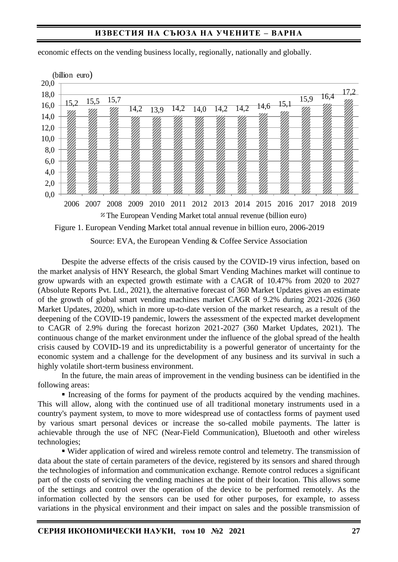## **ИЗВЕСТИЯ НА СЪЮЗА НА УЧЕНИТЕ – ВАРНА**

| (billion euro) |                                                                                   |      |           |      |      |           |                               |      |      |      |      |      |      |      |
|----------------|-----------------------------------------------------------------------------------|------|-----------|------|------|-----------|-------------------------------|------|------|------|------|------|------|------|
| 20,0           |                                                                                   |      |           |      |      |           |                               |      |      |      |      |      |      |      |
| 18,0           |                                                                                   |      | 15,7      |      |      |           |                               |      |      |      |      | 15,9 | 16,4 | 17,2 |
| 16,0           | 52                                                                                | 15,5 |           | 14,2 | 13,9 | 14,2      | 14,0                          | 14,2 | 14,2 | 14,6 | 15,1 |      |      |      |
| 14,0           |                                                                                   |      |           |      |      |           |                               |      |      |      |      |      |      |      |
| 12,0           |                                                                                   |      |           |      |      |           |                               |      |      |      |      |      |      |      |
| 10,0           |                                                                                   |      |           |      |      |           |                               |      |      |      |      |      |      |      |
|                |                                                                                   |      |           |      |      |           |                               |      |      |      |      |      |      |      |
| 8,0            |                                                                                   |      |           |      |      |           |                               |      |      |      |      |      |      |      |
| 6,0            |                                                                                   |      |           |      |      |           |                               |      |      |      |      |      |      |      |
| 4,0            |                                                                                   |      |           |      |      |           |                               |      |      |      |      |      |      |      |
| 2,0            |                                                                                   |      |           |      |      |           |                               |      |      |      |      |      |      |      |
| 0,0            |                                                                                   |      |           |      |      |           |                               |      |      |      |      |      |      |      |
|                | 2006                                                                              | 2007 | 2008 2009 |      |      | 2010 2011 | 2012 2013 2014 2015 2016 2017 |      |      |      |      |      | 2018 | 2019 |
|                | The European Vending Market total annual revenue (billion euro)                   |      |           |      |      |           |                               |      |      |      |      |      |      |      |
|                | Figure 1. European Vending Market total annual revenue in billion euro, 2006-2019 |      |           |      |      |           |                               |      |      |      |      |      |      |      |

economic effects on the vending business locally, regionally, nationally and globally.

Source: EVA, the European Vending & Coffee Service Association

Despite the adverse effects of the crisis caused by the COVID-19 virus infection, based on the market analysis of HNY Research, the global Smart Vending Machines market will continue to grow upwards with an expected growth estimate with a CAGR of 10.47% from 2020 to 2027 (Absolute Reports Pvt. Ltd., 2021), the alternative forecast of 360 Market Updates gives an estimate of the growth of global smart vending machines market CAGR of 9.2% during 2021-2026 (360 Market Updates, 2020), which in more up-to-date version of the market research, as a result of the deepening of the COVID-19 pandemic, lowers the assessment of the expected market development to CAGR of 2.9% during the forecast horizon 2021-2027 (360 Market Updates, 2021). The continuous change of the market environment under the influence of the global spread of the health crisis caused by COVID-19 and its unpredictability is a powerful generator of uncertainty for the economic system and a challenge for the development of any business and its survival in such a highly volatile short-term business environment.

In the future, the main areas of improvement in the vending business can be identified in the following areas:

**Increasing of the forms for payment of the products acquired by the vending machines.** This will allow, along with the continued use of all traditional monetary instruments used in a country's payment system, to move to more widespread use of contactless forms of payment used by various smart personal devices or increase the so-called mobile payments. The latter is achievable through the use of NFC (Near-Field Communication), Bluetooth and other wireless technologies;

▪ Wider application of wired and wireless remote control and telemetry. The transmission of data about the state of certain parameters of the device, registered by its sensors and shared through the technologies of information and communication exchange. Remote control reduces a significant part of the costs of servicing the vending machines at the point of their location. This allows some of the settings and control over the operation of the device to be performed remotely. As the information collected by the sensors can be used for other purposes, for example, to assess variations in the physical environment and their impact on sales and the possible transmission of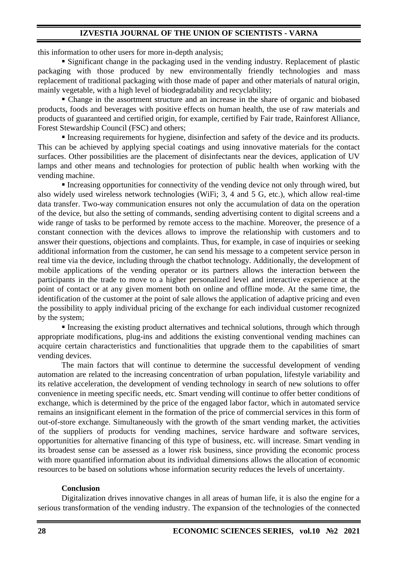this information to other users for more in-depth analysis;

▪ Significant change in the packaging used in the vending industry. Replacement of plastic packaging with those produced by new environmentally friendly technologies and mass replacement of traditional packaging with those made of paper and other materials of natural origin, mainly vegetable, with a high level of biodegradability and recyclability;

• Change in the assortment structure and an increase in the share of organic and biobased products, foods and beverages with positive effects on human health, the use of raw materials and products of guaranteed and certified origin, for example, certified by Fair trade, Rainforest Alliance, Forest Stewardship Council (FSC) and others;

**Increasing requirements for hygiene, disinfection and safety of the device and its products.** This can be achieved by applying special coatings and using innovative materials for the contact surfaces. Other possibilities are the placement of disinfectants near the devices, application of UV lamps and other means and technologies for protection of public health when working with the vending machine.

▪ Increasing opportunities for connectivity of the vending device not only through wired, but also widely used wireless network technologies (WiFi; 3, 4 and 5 G, etc.), which allow real-time data transfer. Two-way communication ensures not only the accumulation of data on the operation of the device, but also the setting of commands, sending advertising content to digital screens and a wide range of tasks to be performed by remote access to the machine. Moreover, the presence of a constant connection with the devices allows to improve the relationship with customers and to answer their questions, objections and complaints. Thus, for example, in case of inquiries or seeking additional information from the customer, he can send his message to a competent service person in real time via the device, including through the chatbot technology. Additionally, the development of mobile applications of the vending operator or its partners allows the interaction between the participants in the trade to move to a higher personalized level and interactive experience at the point of contact or at any given moment both on online and offline mode. At the same time, the identification of the customer at the point of sale allows the application of adaptive pricing and even the possibility to apply individual pricing of the exchange for each individual customer recognized by the system;

■ Increasing the existing product alternatives and technical solutions, through which through appropriate modifications, plug-ins and additions the existing conventional vending machines can acquire certain characteristics and functionalities that upgrade them to the capabilities of smart vending devices.

The main factors that will continue to determine the successful development of vending automation are related to the increasing concentration of urban population, lifestyle variability and its relative acceleration, the development of vending technology in search of new solutions to offer convenience in meeting specific needs, etc. Smart vending will continue to offer better conditions of exchange, which is determined by the price of the engaged labor factor, which in automated service remains an insignificant element in the formation of the price of commercial services in this form of out-of-store exchange. Simultaneously with the growth of the smart vending market, the activities of the suppliers of products for vending machines, service hardware and software services, opportunities for alternative financing of this type of business, etc. will increase. Smart vending in its broadest sense can be assessed as a lower risk business, since providing the economic process with more quantified information about its individual dimensions allows the allocation of economic resources to be based on solutions whose information security reduces the levels of uncertainty.

#### **Conclusion**

Digitalization drives innovative changes in all areas of human life, it is also the engine for a serious transformation of the vending industry. The expansion of the technologies of the connected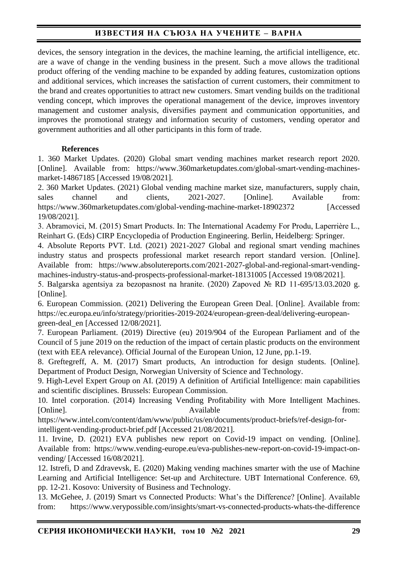# **ИЗВЕСТИЯ НА СЪЮЗА НА УЧЕНИТЕ – ВАРНА**

devices, the sensory integration in the devices, the machine learning, the artificial intelligence, etc. are a wave of change in the vending business in the present. Such a move allows the traditional product offering of the vending machine to be expanded by adding features, customization options and additional services, which increases the satisfaction of current customers, their commitment to the brand and creates opportunities to attract new customers. Smart vending builds on the traditional vending concept, which improves the operational management of the device, improves inventory management and customer analysis, diversifies payment and communication opportunities, and improves the promotional strategy and information security of customers, vending operator and government authorities and all other participants in this form of trade.

## **References**

1. 360 Market Updates. (2020) Global smart vending machines market research report 2020. [Online]. Available from: https://www.360marketupdates.com/global-smart-vending-machinesmarket-14867185 [Accessed 19/08/2021].

2. 360 Market Updates. (2021) Global vending machine market size, manufacturers, supply chain, sales channel and clients, 2021-2027. [Online]. Available from: https://www.360marketupdates.com/global-vending-machine-market-18902372 [Accessed 19/08/2021].

3. Abramovici, M. (2015) Smart Products. In: The International Academy For Produ, Laperrière L., Reinhart G. (Eds) CIRP Encyclopedia of Production Engineering. Berlin, Heidelberg: Springer.

4. Absolute Reports PVT. Ltd. (2021) 2021-2027 Global and regional smart vending machines industry status and prospects professional market research report standard version. [Online]. Available from: https://www.absolutereports.com/2021-2027-global-and-regional-smart-vendingmachines-industry-status-and-prospects-professional-market-18131005 [Accessed 19/08/2021].

5. Balgarska agentsiya za bezopasnost na hranite. (2020) Zapoved № RD 11-695/13.03.2020 g. [Online].

6. European Commission. (2021) Delivering the European Green Deal. [Online]. Available from: https://ec.europa.eu/info/strategy/priorities-2019-2024/european-green-deal/delivering-europeangreen-deal\_en [Accessed 12/08/2021].

7. European Parliament. (2019) Directive (eu) 2019/904 of the European Parliament and of the Council of 5 june 2019 on the reduction of the impact of certain plastic products on the environment (text with EEA relevance). Official Journal of the European Union, 12 June, pp.1-19.

8. Greftegreff, A. M. (2017) Smart products, An introduction for design students. [Online]. Department of Product Design, Norwegian University of Science and Technology.

9. High-Level Expert Group on AI. (2019) A definition of Artificial Intelligence: main capabilities and scientific disciplines. Brussels: European Commission.

10. Intel corporation. (2014) Increasing Vending Profitability with More Intelligent Machines. [Online]. **Available** from:

https://www.intel.com/content/dam/www/public/us/en/documents/product-briefs/ref-design-forintelligent-vending-product-brief.pdf [Accessed 21/08/2021].

11. Irvine, D. (2021) EVA publishes new report on Covid-19 impact on vending. [Online]. Available from: https://www.vending-europe.eu/eva-publishes-new-report-on-covid-19-impact-onvending/ [Accessed 16/08/2021].

12. Istrefi, D and Zdravevsk, E. (2020) Making vending machines smarter with the use of Machine Learning and Artificial Intelligence: Set-up and Architecture. UBT International Conference. 69, pp. 12-21. Kosovo: University of Business and Technology.

13. McGehee, J. (2019) Smart vs Connected Products: What's the Difference? [Online]. Available from: https://www.verypossible.com/insights/smart-vs-connected-products-whats-the-difference